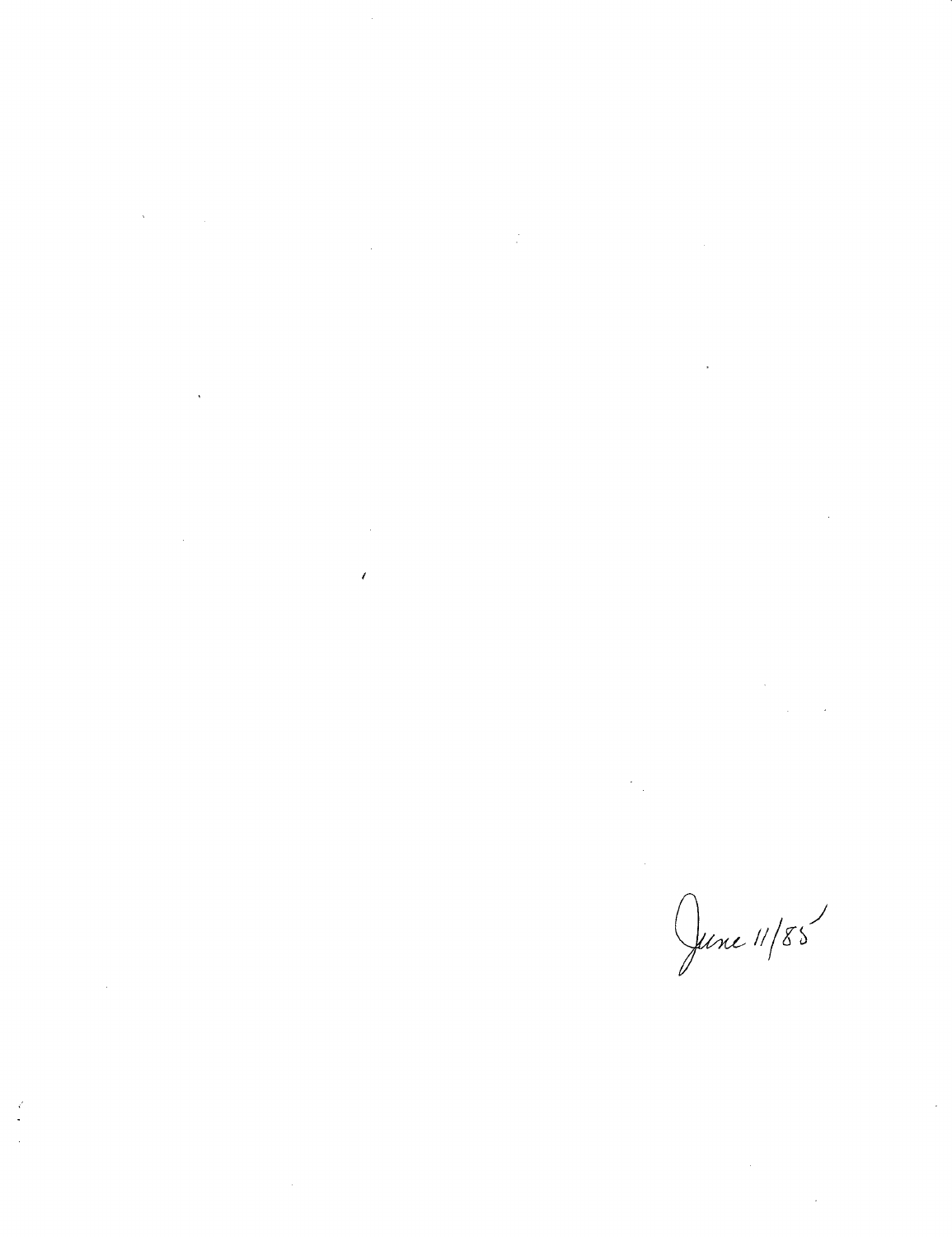$\label{eq:2.1} \mathcal{L}(\mathcal{L}(\mathcal{L})) = \mathcal{L}(\mathcal{L}(\mathcal{L})) = \mathcal{L}(\mathcal{L}(\mathcal{L}))$  $\label{eq:2.1} \frac{1}{2} \sum_{i=1}^n \frac{1}{2} \sum_{j=1}^n \frac{1}{2} \sum_{j=1}^n \frac{1}{2} \sum_{j=1}^n \frac{1}{2} \sum_{j=1}^n \frac{1}{2} \sum_{j=1}^n \frac{1}{2} \sum_{j=1}^n \frac{1}{2} \sum_{j=1}^n \frac{1}{2} \sum_{j=1}^n \frac{1}{2} \sum_{j=1}^n \frac{1}{2} \sum_{j=1}^n \frac{1}{2} \sum_{j=1}^n \frac{1}{2} \sum_{j=1}^n \frac{$ 

 $\label{eq:2.1} \begin{split} \mathcal{L}_{\text{max}}(\mathcal{L}_{\text{max}}) = \mathcal{L}_{\text{max}}(\mathcal{L}_{\text{max}}) \,, \end{split}$ 

 $\label{eq:2.1} \frac{1}{\sqrt{2}}\int_{0}^{\infty}\frac{1}{\sqrt{2\pi}}\left(\frac{1}{\sqrt{2\pi}}\right)^{2\alpha} \frac{1}{\sqrt{2\pi}}\int_{0}^{\infty}\frac{1}{\sqrt{2\pi}}\left(\frac{1}{\sqrt{2\pi}}\right)^{\alpha} \frac{1}{\sqrt{2\pi}}\frac{1}{\sqrt{2\pi}}\int_{0}^{\infty}\frac{1}{\sqrt{2\pi}}\frac{1}{\sqrt{2\pi}}\frac{1}{\sqrt{2\pi}}\frac{1}{\sqrt{2\pi}}\frac{1}{\sqrt{2\pi}}\frac{1}{\sqrt{2\pi}}$ 

 $\label{eq:2.1} \frac{1}{\sqrt{2\pi}}\int_{\mathbb{R}^3}\frac{1}{\sqrt{2\pi}}\int_{\mathbb{R}^3}\frac{1}{\sqrt{2\pi}}\int_{\mathbb{R}^3}\frac{1}{\sqrt{2\pi}}\int_{\mathbb{R}^3}\frac{1}{\sqrt{2\pi}}\int_{\mathbb{R}^3}\frac{1}{\sqrt{2\pi}}\int_{\mathbb{R}^3}\frac{1}{\sqrt{2\pi}}\int_{\mathbb{R}^3}\frac{1}{\sqrt{2\pi}}\int_{\mathbb{R}^3}\frac{1}{\sqrt{2\pi}}\int_{\mathbb{R}^3}\frac{1$  $\label{eq:2.1} \frac{1}{\sqrt{2}}\left(\frac{1}{\sqrt{2}}\right)^{2} \left(\frac{1}{\sqrt{2}}\right)^{2} \left(\frac{1}{\sqrt{2}}\right)^{2} \left(\frac{1}{\sqrt{2}}\right)^{2} \left(\frac{1}{\sqrt{2}}\right)^{2} \left(\frac{1}{\sqrt{2}}\right)^{2} \left(\frac{1}{\sqrt{2}}\right)^{2} \left(\frac{1}{\sqrt{2}}\right)^{2} \left(\frac{1}{\sqrt{2}}\right)^{2} \left(\frac{1}{\sqrt{2}}\right)^{2} \left(\frac{1}{\sqrt{2}}\right)^{2} \left(\$ 

 $\label{eq:2.1} \frac{1}{\sqrt{2}}\int_{\mathbb{R}^3} \frac{1}{\sqrt{2}}\left(\frac{1}{\sqrt{2}}\right)^2\frac{1}{\sqrt{2}}\left(\frac{1}{\sqrt{2}}\right)^2\frac{1}{\sqrt{2}}\left(\frac{1}{\sqrt{2}}\right)^2\frac{1}{\sqrt{2}}\left(\frac{1}{\sqrt{2}}\right)^2.$ 

 $\mathcal{L}^{\mathcal{L}}(\mathcal{L}^{\mathcal{L}})$  and  $\mathcal{L}^{\mathcal{L}}(\mathcal{L}^{\mathcal{L}})$  and  $\mathcal{L}^{\mathcal{L}}(\mathcal{L}^{\mathcal{L}})$ 

June 11/85

 $\label{eq:2.1} \frac{1}{\sqrt{2}}\int_{0}^{\infty}\frac{1}{\sqrt{2\pi}}\left(\frac{1}{\sqrt{2\pi}}\right)^{2}d\mu\left(\frac{1}{\sqrt{2\pi}}\right) \frac{d\mu}{\sqrt{2\pi}}\,.$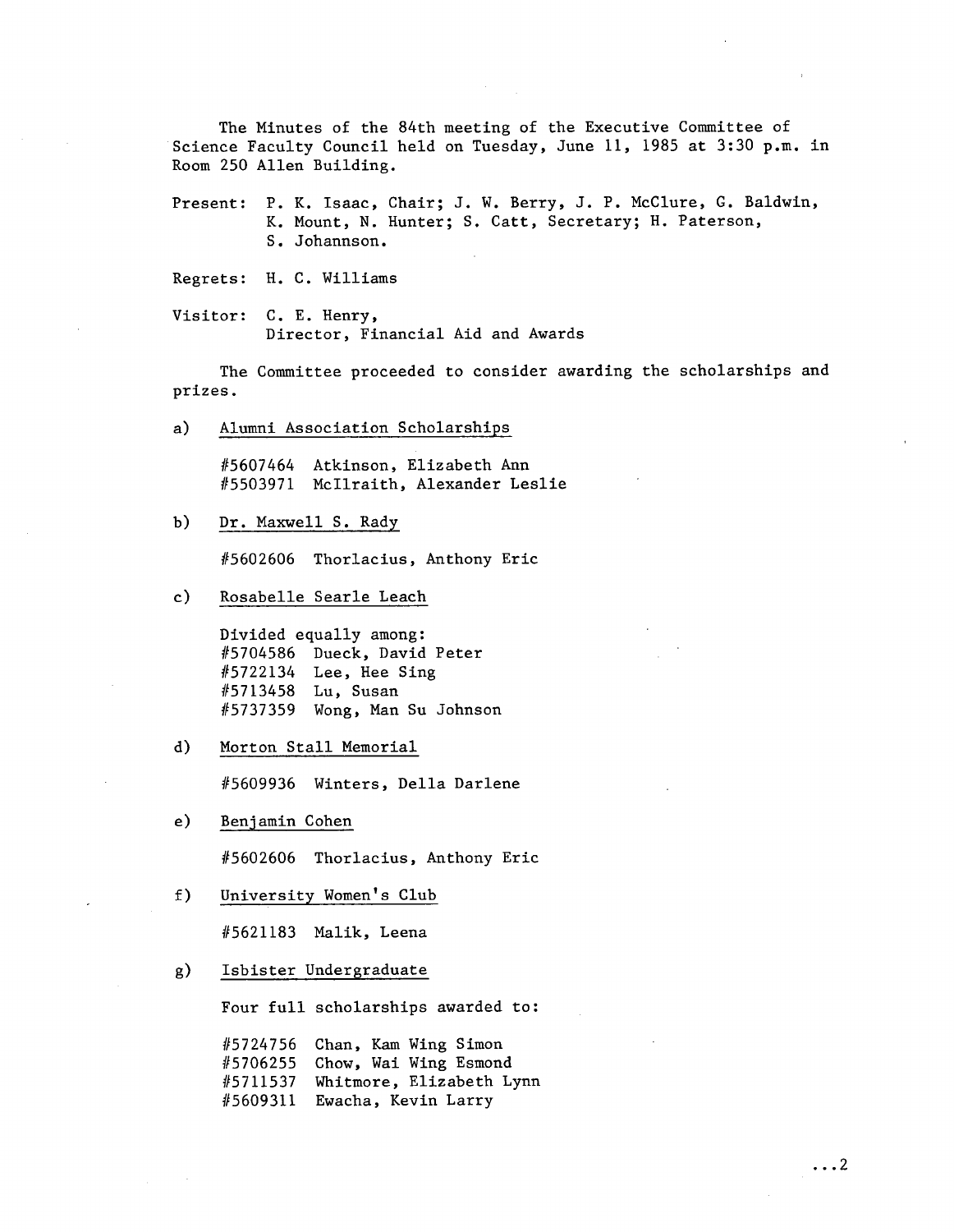The Minutes of the 84th meeting of the Executive Committee of Science Faculty Council held on Tuesday, June 11, 1985 at 3:30 p.m. in Room 250 Allen Building.

Present: P. K. Isaac, Chair; J. W. Berry, J. P. McClure, G. Baldwin, K. Mount, N. Hunter; S. Catt, Secretary; H. Paterson, S. Johannson.

Regrets: H. C. Williams

Visitor: C. E. Henry, Director, Financial Aid and Awards

The Committee proceeded to consider awarding the scholarships and prizes.

a) Alumni Association Scholarships

> #5607464 Atkinson, Elizabeth Ann #5503971 Mcllraith, Alexander Leslie

 $b)$ Dr. Maxwell S. Rady

#5602606 Thorlacius, Anthony Eric

 $c)$ Rosabelle Searle Leach

> Divided equally among: #5704586 Dueck, David Peter #5722134 Lee, Hee Sing #5713458 Lu, Susan #5737359 Wong, Man Su Johnson

 $\mathbf{d}$ Morton Stall Memorial

#5609936 Winters, Della Darlene

 $e)$ Benjamin Cohen

#5602606 Thorlacius, Anthony Eric

 $f$ ) University Women's Club

#5621183 Malik, Leena

Isbister Undergraduate  $g)$ 

Four full scholarships awarded to:

#5724756 Chan, Kam Wing Simon #5706255 Chow, Wai Wing Esmond #5711537 Whitmore, Elizabeth Lynn #5609311 Ewacha, Kevin Larry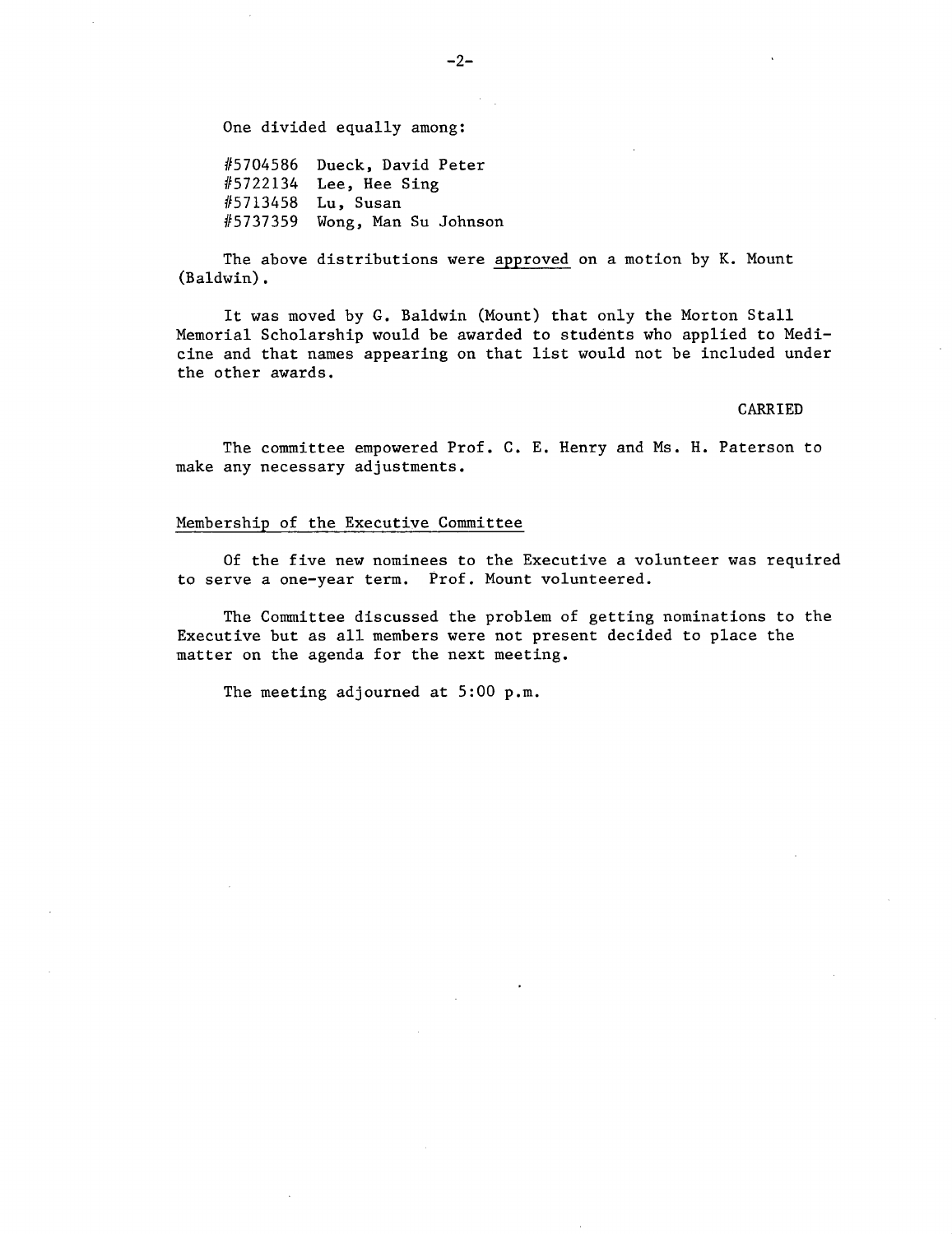One divided equally among:

#5704586 Dueck, David Peter #5722134 Lee, Hee Sing #5713458 Lu, Susan #5737359 Wong, Man Su Johnson

The above distributions were approved on a motion by K. Mount (Baldwin).

It was moved by G. Baldwin (Mount) that only the Morton Stall Memorial Scholarship would be awarded to students who applied to Medicine and that names appearing on that list would not be included under the other awards.

## CARRIED

The committee empowered Prof. C. E. Henry and Ms. H. Paterson to make any necessary adjustments.

## Membership of the Executive Committee

Of the five new nominees to the Executive a volunteer was required to serve a one-year term. Prof. Mount volunteered.

The Committee discussed the problem of getting nominations to the Executive but as all members were not present decided to place the matter on the agenda for the next meeting.

The meeting adjourned at 5:00 p.m.